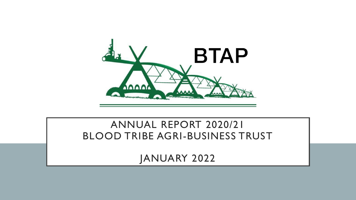

#### ANNUAL REPORT 2020/21 BLOOD TRIBE AGRI-BUSINESS TRUST

JANUARY 2022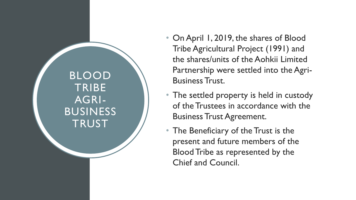BLOOD **TRIBE** AGRI - BUSINESS **TRUST** 

- On April 1, 2019, the shares of Blood Tribe Agricultural Project (1991) and the shares/units of the Aohkii Limited Partnership were settled into the Agri-Business Trust.
- The settled property is held in custody of the Trustees in accordance with the Business Trust Agreement.
- The Beneficiary of the Trust is the present and future members of the Blood Tribe as represented by the Chief and Council.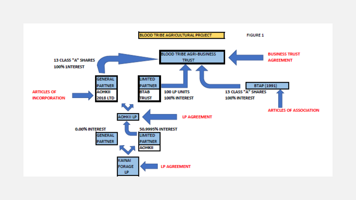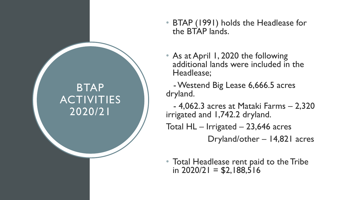## BTAP ACTIVITIES 2020/21

- BTAP (1991) holds the Headlease for the BTAP lands.
- As at April 1, 2020 the following additional lands were included in the Headlease;
- -Westend Big Lease 6,666.5 acres dryland.

- 4,062.3 acres at Mataki Farms – 2,320 irrigated and 1,742.2 dryland.

Total  $HL$  – Irrigated – 23,646 acres

Dryland/other – 14,821 acres

• Total Headlease rent paid to the Tribe in  $2020/21 = $2,188,516$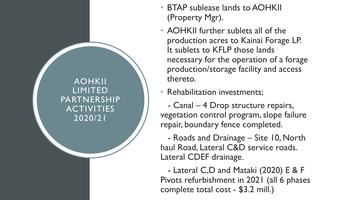AOHKII LIMITED PARTNERSHIP ACTIVITIES 2020/21

- BTAP sublease lands to AOHKII (Property Mgr).
- AOHKII further sublets all of the production acres to Kainai Forage LP. It sublets to KFLP those lands necessary for the operation of a forage production/storage facility and access thereto.
- Rehabilitation investments;

- Canal – 4 Drop structure repairs, vegetation control program, slope failure repair, boundary fence completed.

- Roads and Drainage – Site 10, North haul Road, Lateral C&D service roads. Lateral CDEF drainage.

- Lateral C,D and Mataki (2020) E & F Pivots refurbishment in 2021 (all 6 phases complete total cost - \$3.2 mill.)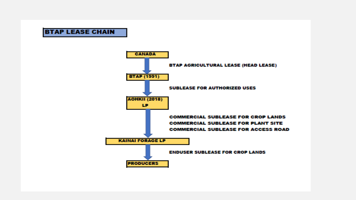#### **BTAP LEASE CHAIN**

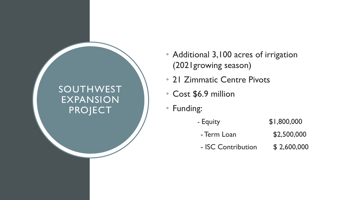#### SOUTHWEST EXPANSION PROJECT

- Additional 3,100 acres of irrigation (2021growing season)
- 21 Zimmatic Centre Pivots
- Cost \$6.9 million
- Funding:
	- Equity \$1,800,000
		- Term Loan \$2,500,000
		- ISC Contribution \$ 2,600,000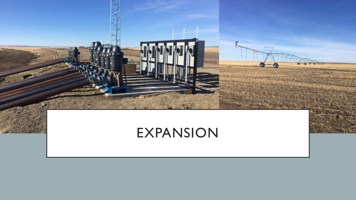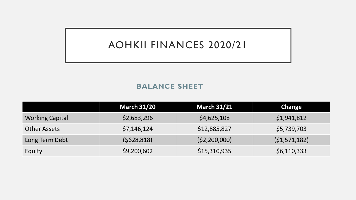### AOHKII FINANCES 2020/21

#### **BALANCE SHEET**

|                        | <b>March 31/20</b> | <b>March 31/21</b> | <b>Change</b>  |
|------------------------|--------------------|--------------------|----------------|
| <b>Working Capital</b> | \$2,683,296        | \$4,625,108        | \$1,941,812    |
| <b>Other Assets</b>    | \$7,146,124        | \$12,885,827       | \$5,739,703    |
| Long Term Debt         | (5628, 818)        | (52,200,000)       | (51, 571, 182) |
| Equity                 | \$9,200,602        | \$15,310,935       | \$6,110,333    |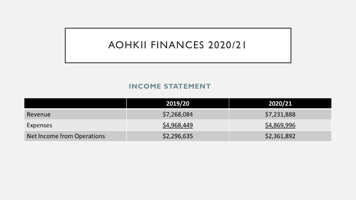### AOHKII FINANCES 2020/21

#### **INCOME STATEMENT**

|                            | 2019/20     | 2020/21     |
|----------------------------|-------------|-------------|
| Revenue                    | \$7,268,084 | \$7,231,888 |
| Expenses                   | \$4,968,449 | \$4,869,996 |
| Net Income from Operations | \$2,296,635 | \$2,361,892 |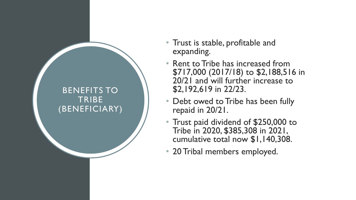#### BENEFITS TO **TRIBE** (BENEFICIARY)

- Trust is stable, profitable and expanding.
- Rent to Tribe has increased from \$717,000 (2017/18) to \$2,188,516 in 20/21 and will further increase to \$2,192,619 in 22/23.
- Debt owed to Tribe has been fully repaid in 20/21.
- Trust paid dividend of \$250,000 to Tribe in 2020, \$385,308 in 2021, cumulative total now \$1,140,308.
- 20 Tribal members employed.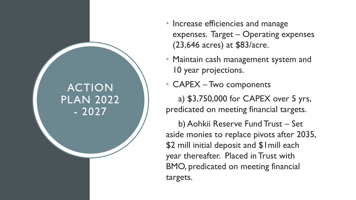### ACTION PLAN 2022 - 2027

- Increase efficiencies and manage expenses. Target – Operating expenses (23,646 acres) at \$83/acre.
- Maintain cash management system and 10 year projections.
- CAPEX Two components

a) \$3,750,000 for CAPEX over 5 yrs, predicated on meeting financial targets.

b) Aohkii Reserve Fund Trust – Set aside monies to replace pivots after 2035, \$2 mill initial deposit and \$1mill each year thereafter. Placed in Trust with BMO, predicated on meeting financial targets.